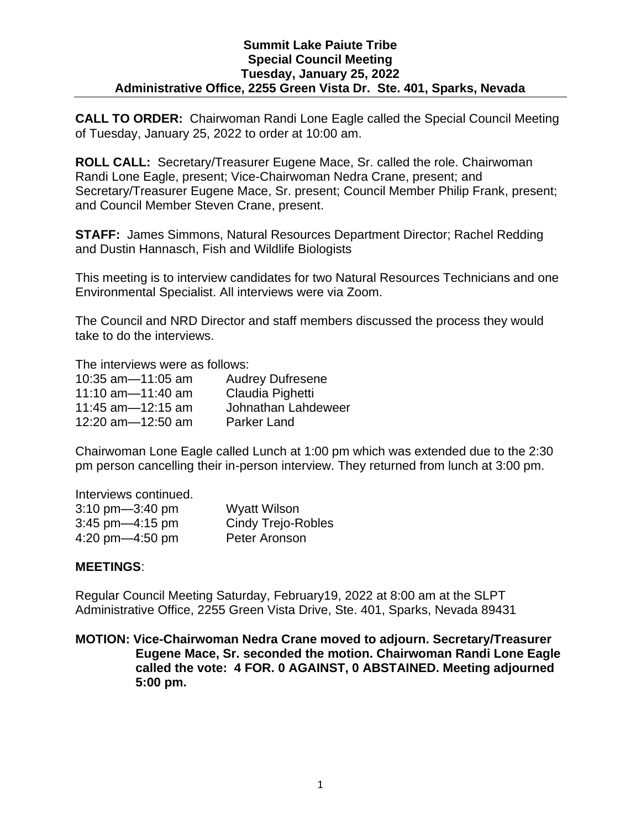## **Summit Lake Paiute Tribe Special Council Meeting Tuesday, January 25, 2022 Administrative Office, 2255 Green Vista Dr. Ste. 401, Sparks, Nevada**

**CALL TO ORDER:** Chairwoman Randi Lone Eagle called the Special Council Meeting of Tuesday, January 25, 2022 to order at 10:00 am.

**ROLL CALL:** Secretary/Treasurer Eugene Mace, Sr. called the role. Chairwoman Randi Lone Eagle, present; Vice-Chairwoman Nedra Crane, present; and Secretary/Treasurer Eugene Mace, Sr. present; Council Member Philip Frank, present; and Council Member Steven Crane, present.

**STAFF:** James Simmons, Natural Resources Department Director; Rachel Redding and Dustin Hannasch, Fish and Wildlife Biologists

This meeting is to interview candidates for two Natural Resources Technicians and one Environmental Specialist. All interviews were via Zoom.

The Council and NRD Director and staff members discussed the process they would take to do the interviews.

The interviews were as follows:

| 10:35 $am - 11:05$ am | <b>Audrey Dufresene</b> |
|-----------------------|-------------------------|
| 11:10 $am = 11:40$ am | Claudia Pighetti        |
| 11:45 $am=12:15$ am   | Johnathan Lahdeweer     |
| 12:20 am $-12:50$ am  | <b>Parker Land</b>      |

Chairwoman Lone Eagle called Lunch at 1:00 pm which was extended due to the 2:30 pm person cancelling their in-person interview. They returned from lunch at 3:00 pm.

Interviews continued.

| $3:10 \text{ pm} - 3:40 \text{ pm}$ | Wyatt Wilson              |
|-------------------------------------|---------------------------|
| $3:45$ pm $-4:15$ pm                | <b>Cindy Trejo-Robles</b> |
| 4:20 pm $-4:50$ pm                  | Peter Aronson             |

## **MEETINGS**:

Regular Council Meeting Saturday, February19, 2022 at 8:00 am at the SLPT Administrative Office, 2255 Green Vista Drive, Ste. 401, Sparks, Nevada 89431

**MOTION: Vice-Chairwoman Nedra Crane moved to adjourn. Secretary/Treasurer Eugene Mace, Sr. seconded the motion. Chairwoman Randi Lone Eagle called the vote: 4 FOR. 0 AGAINST, 0 ABSTAINED. Meeting adjourned 5:00 pm.**